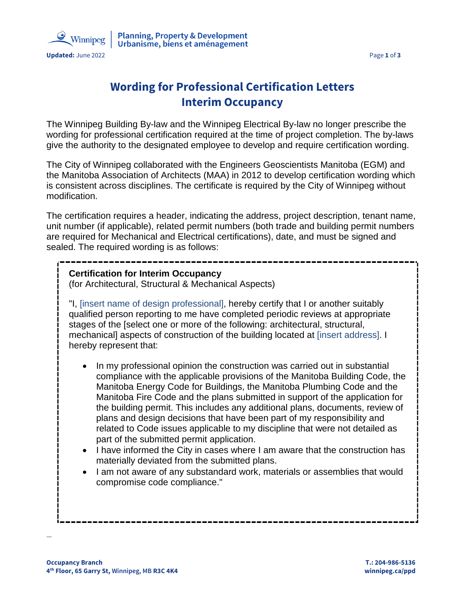

# **Wording for Professional Certification Letters Interim Occupancy**

The Winnipeg Building By-law and the Winnipeg Electrical By-law no longer prescribe the wording for professional certification required at the time of project completion. The by-laws give the authority to the designated employee to develop and require certification wording.

The City of Winnipeg collaborated with the Engineers Geoscientists Manitoba (EGM) and the Manitoba Association of Architects (MAA) in 2012 to develop certification wording which is consistent across disciplines. The certificate is required by the City of Winnipeg without modification.

The certification requires a header, indicating the address, project description, tenant name, unit number (if applicable), related permit numbers (both trade and building permit numbers are required for Mechanical and Electrical certifications), date, and must be signed and sealed. The required wording is as follows:

#### **Certification for Interim Occupancy**

(for Architectural, Structural & Mechanical Aspects)

"I, [insert name of design professional], hereby certify that I or another suitably qualified person reporting to me have completed periodic reviews at appropriate stages of the [select one or more of the following: architectural, structural, mechanical] aspects of construction of the building located at [insert address]. I hereby represent that:

- In my professional opinion the construction was carried out in substantial compliance with the applicable provisions of the Manitoba Building Code, the Manitoba Energy Code for Buildings, the Manitoba Plumbing Code and the Manitoba Fire Code and the plans submitted in support of the application for the building permit. This includes any additional plans, documents, review of plans and design decisions that have been part of my responsibility and related to Code issues applicable to my discipline that were not detailed as part of the submitted permit application.
- I have informed the City in cases where I am aware that the construction has materially deviated from the submitted plans.
- I am not aware of any substandard work, materials or assemblies that would compromise code compliance."

—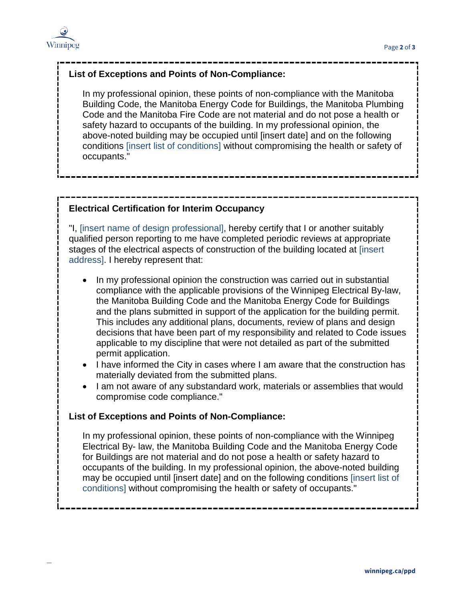

—

## **List of Exceptions and Points of Non-Compliance:**

In my professional opinion, these points of non-compliance with the Manitoba Building Code, the Manitoba Energy Code for Buildings, the Manitoba Plumbing Code and the Manitoba Fire Code are not material and do not pose a health or safety hazard to occupants of the building. In my professional opinion, the above-noted building may be occupied until [insert date] and on the following conditions [insert list of conditions] without compromising the health or safety of occupants."

### **Electrical Certification for Interim Occupancy**

"I, [insert name of design professional], hereby certify that I or another suitably qualified person reporting to me have completed periodic reviews at appropriate stages of the electrical aspects of construction of the building located at [insert address]. I hereby represent that:

- In my professional opinion the construction was carried out in substantial compliance with the applicable provisions of the Winnipeg Electrical By-law, the Manitoba Building Code and the Manitoba Energy Code for Buildings and the plans submitted in support of the application for the building permit. This includes any additional plans, documents, review of plans and design decisions that have been part of my responsibility and related to Code issues applicable to my discipline that were not detailed as part of the submitted permit application.
- I have informed the City in cases where I am aware that the construction has materially deviated from the submitted plans.
- I am not aware of any substandard work, materials or assemblies that would compromise code compliance."

#### **List of Exceptions and Points of Non-Compliance:**

In my professional opinion, these points of non-compliance with the Winnipeg Electrical By- law, the Manitoba Building Code and the Manitoba Energy Code for Buildings are not material and do not pose a health or safety hazard to occupants of the building. In my professional opinion, the above-noted building may be occupied until [insert date] and on the following conditions [insert list of conditions] without compromising the health or safety of occupants."